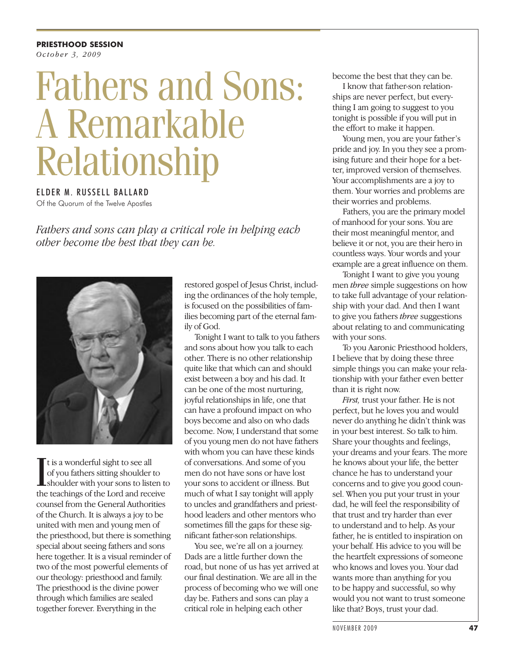## **PRIESTHOOD SESSION**

*October 3, 2009*

## Fathers and Sons: A Remarkable Relationship

## ELDER M. RUSSELL BALLARD Of the Quorum of the Twelve Apostles

*Fathers and sons can play a critical role in helping each other become the best that they can be.*



It is a wonderful sight to see all<br>of you fathers sitting shoulder to<br>the teachings of the Lord and receive t is a wonderful sight to see all of you fathers sitting shoulder to shoulder with your sons to listen to counsel from the General Authorities of the Church. It is always a joy to be united with men and young men of the priesthood, but there is something special about seeing fathers and sons here together. It is a visual reminder of two of the most powerful elements of our theology: priesthood and family. The priesthood is the divine power through which families are sealed together forever. Everything in the

restored gospel of Jesus Christ, including the ordinances of the holy temple, is focused on the possibilities of families becoming part of the eternal family of God.

Tonight I want to talk to you fathers and sons about how you talk to each other. There is no other relationship quite like that which can and should exist between a boy and his dad. It can be one of the most nurturing, joyful relationships in life, one that can have a profound impact on who boys become and also on who dads become. Now, I understand that some of you young men do not have fathers with whom you can have these kinds of conversations. And some of you men do not have sons or have lost your sons to accident or illness. But much of what I say tonight will apply to uncles and grandfathers and priesthood leaders and other mentors who sometimes fill the gaps for these significant father-son relationships.

You see, we're all on a journey. Dads are a little further down the road, but none of us has yet arrived at our final destination. We are all in the process of becoming who we will one day be. Fathers and sons can play a critical role in helping each other

become the best that they can be.

I know that father-son relationships are never perfect, but everything I am going to suggest to you tonight is possible if you will put in the effort to make it happen.

Young men, you are your father's pride and joy. In you they see a promising future and their hope for a better, improved version of themselves. Your accomplishments are a joy to them. Your worries and problems are their worries and problems.

Fathers, you are the primary model of manhood for your sons. You are their most meaningful mentor, and believe it or not, you are their hero in countless ways. Your words and your example are a great influence on them.

Tonight I want to give you young men *three* simple suggestions on how to take full advantage of your relationship with your dad. And then I want to give you fathers *three* suggestions about relating to and communicating with your sons.

To you Aaronic Priesthood holders, I believe that by doing these three simple things you can make your relationship with your father even better than it is right now.

*First,* trust your father. He is not perfect, but he loves you and would never do anything he didn't think was in your best interest. So talk to him. Share your thoughts and feelings, your dreams and your fears. The more he knows about your life, the better chance he has to understand your concerns and to give you good counsel. When you put your trust in your dad, he will feel the responsibility of that trust and try harder than ever to understand and to help. As your father, he is entitled to inspiration on your behalf. His advice to you will be the heartfelt expressions of someone who knows and loves you. Your dad wants more than anything for you to be happy and successful, so why would you not want to trust someone like that? Boys, trust your dad.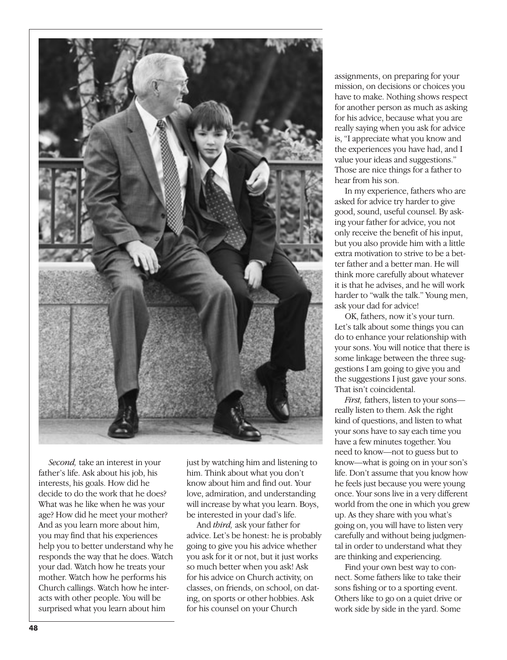

*Second,* take an interest in your father's life. Ask about his job, his interests, his goals. How did he decide to do the work that he does? What was he like when he was your age? How did he meet your mother? And as you learn more about him, you may find that his experiences help you to better understand why he responds the way that he does. Watch your dad. Watch how he treats your mother. Watch how he performs his Church callings. Watch how he interacts with other people. You will be surprised what you learn about him

just by watching him and listening to him. Think about what you don't know about him and find out. Your love, admiration, and understanding will increase by what you learn. Boys, be interested in your dad's life.

And *third,* ask your father for advice. Let's be honest: he is probably going to give you his advice whether you ask for it or not, but it just works so much better when you ask! Ask for his advice on Church activity, on classes, on friends, on school, on dating, on sports or other hobbies. Ask for his counsel on your Church

assignments, on preparing for your mission, on decisions or choices you have to make. Nothing shows respect for another person as much as asking for his advice, because what you are really saying when you ask for advice is, "I appreciate what you know and the experiences you have had, and I value your ideas and suggestions." Those are nice things for a father to hear from his son.

In my experience, fathers who are asked for advice try harder to give good, sound, useful counsel. By asking your father for advice, you not only receive the benefit of his input, but you also provide him with a little extra motivation to strive to be a better father and a better man. He will think more carefully about whatever it is that he advises, and he will work harder to "walk the talk." Young men, ask your dad for advice!

OK, fathers, now it's your turn. Let's talk about some things you can do to enhance your relationship with your sons. You will notice that there is some linkage between the three suggestions I am going to give you and the suggestions I just gave your sons. That isn't coincidental.

*First,* fathers, listen to your sons really listen to them. Ask the right kind of questions, and listen to what your sons have to say each time you have a few minutes together. You need to know—not to guess but to know—what is going on in your son's life. Don't assume that you know how he feels just because you were young once. Your sons live in a very different world from the one in which you grew up. As they share with you what's going on, you will have to listen very carefully and without being judgmental in order to understand what they are thinking and experiencing.

Find your own best way to connect. Some fathers like to take their sons fishing or to a sporting event. Others like to go on a quiet drive or work side by side in the yard. Some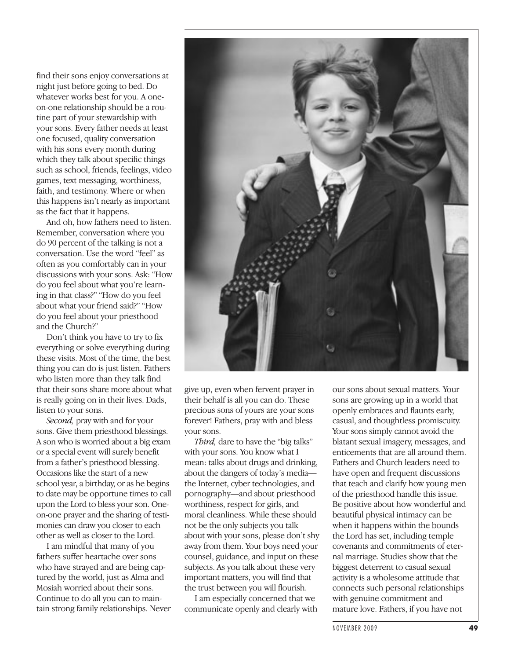find their sons enjoy conversations at night just before going to bed. Do whatever works best for you. A oneon-one relationship should be a routine part of your stewardship with your sons. Every father needs at least one focused, quality conversation with his sons every month during which they talk about specific things such as school, friends, feelings, video games, text messaging, worthiness, faith, and testimony. Where or when this happens isn't nearly as important as the fact that it happens.

And oh, how fathers need to listen. Remember, conversation where you do 90 percent of the talking is not a conversation. Use the word "feel" as often as you comfortably can in your discussions with your sons. Ask: "How do you feel about what you're learning in that class?" "How do you feel about what your friend said?" "How do you feel about your priesthood and the Church?"

Don't think you have to try to fix everything or solve everything during these visits. Most of the time, the best thing you can do is just listen. Fathers who listen more than they talk find that their sons share more about what is really going on in their lives. Dads, listen to your sons.

*Second,* pray with and for your sons. Give them priesthood blessings. A son who is worried about a big exam or a special event will surely benefit from a father's priesthood blessing. Occasions like the start of a new school year, a birthday, or as he begins to date may be opportune times to call upon the Lord to bless your son. Oneon-one prayer and the sharing of testimonies can draw you closer to each other as well as closer to the Lord.

I am mindful that many of you fathers suffer heartache over sons who have strayed and are being captured by the world, just as Alma and Mosiah worried about their sons. Continue to do all you can to maintain strong family relationships. Never



give up, even when fervent prayer in their behalf is all you can do. These precious sons of yours are your sons forever! Fathers, pray with and bless your sons.

*Third,* dare to have the "big talks" with your sons. You know what I mean: talks about drugs and drinking, about the dangers of today's media the Internet, cyber technologies, and pornography—and about priesthood worthiness, respect for girls, and moral cleanliness. While these should not be the only subjects you talk about with your sons, please don't shy away from them. Your boys need your counsel, guidance, and input on these subjects. As you talk about these very important matters, you will find that the trust between you will flourish.

I am especially concerned that we communicate openly and clearly with

our sons about sexual matters. Your sons are growing up in a world that openly embraces and flaunts early, casual, and thoughtless promiscuity. Your sons simply cannot avoid the blatant sexual imagery, messages, and enticements that are all around them. Fathers and Church leaders need to have open and frequent discussions that teach and clarify how young men of the priesthood handle this issue. Be positive about how wonderful and beautiful physical intimacy can be when it happens within the bounds the Lord has set, including temple covenants and commitments of eternal marriage. Studies show that the biggest deterrent to casual sexual activity is a wholesome attitude that connects such personal relationships with genuine commitment and mature love. Fathers, if you have not